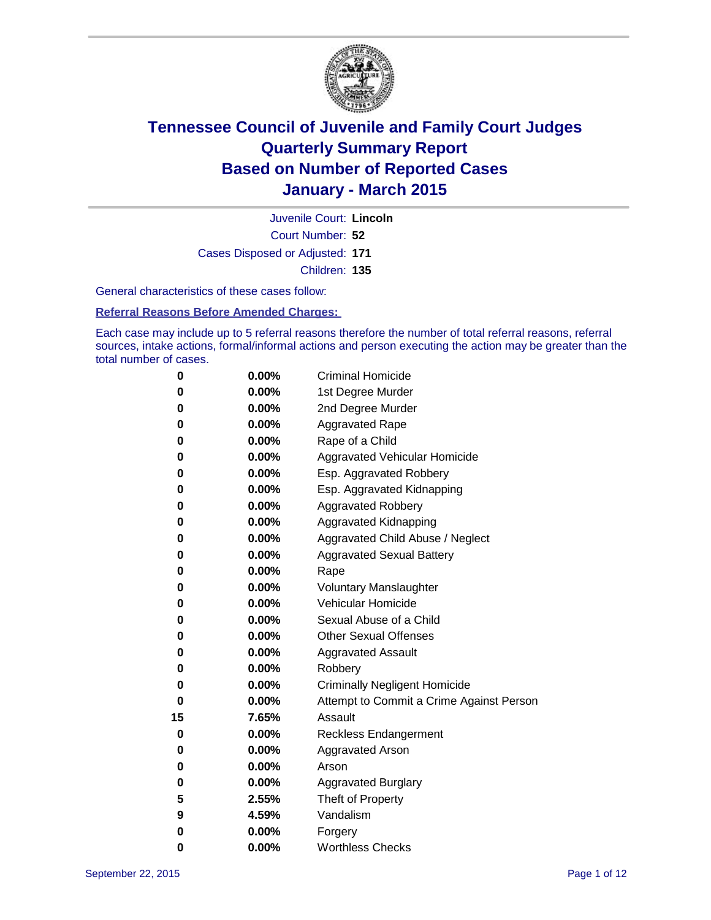

Court Number: **52** Juvenile Court: **Lincoln** Cases Disposed or Adjusted: **171** Children: **135**

General characteristics of these cases follow:

**Referral Reasons Before Amended Charges:** 

Each case may include up to 5 referral reasons therefore the number of total referral reasons, referral sources, intake actions, formal/informal actions and person executing the action may be greater than the total number of cases.

| 0  | 0.00%    | <b>Criminal Homicide</b>                 |
|----|----------|------------------------------------------|
| 0  | 0.00%    | 1st Degree Murder                        |
| 0  | 0.00%    | 2nd Degree Murder                        |
| 0  | $0.00\%$ | <b>Aggravated Rape</b>                   |
| 0  | $0.00\%$ | Rape of a Child                          |
| 0  | 0.00%    | Aggravated Vehicular Homicide            |
| 0  | 0.00%    | Esp. Aggravated Robbery                  |
| 0  | $0.00\%$ | Esp. Aggravated Kidnapping               |
| 0  | 0.00%    | <b>Aggravated Robbery</b>                |
| 0  | 0.00%    | <b>Aggravated Kidnapping</b>             |
| 0  | 0.00%    | Aggravated Child Abuse / Neglect         |
| 0  | 0.00%    | <b>Aggravated Sexual Battery</b>         |
| 0  | 0.00%    | Rape                                     |
| 0  | $0.00\%$ | <b>Voluntary Manslaughter</b>            |
| 0  | $0.00\%$ | <b>Vehicular Homicide</b>                |
| 0  | 0.00%    | Sexual Abuse of a Child                  |
| 0  | 0.00%    | <b>Other Sexual Offenses</b>             |
| 0  | $0.00\%$ | <b>Aggravated Assault</b>                |
| 0  | 0.00%    | Robbery                                  |
| 0  | 0.00%    | <b>Criminally Negligent Homicide</b>     |
| 0  | 0.00%    | Attempt to Commit a Crime Against Person |
| 15 | 7.65%    | Assault                                  |
| 0  | 0.00%    | <b>Reckless Endangerment</b>             |
| 0  | $0.00\%$ | <b>Aggravated Arson</b>                  |
| 0  | $0.00\%$ | Arson                                    |
| 0  | 0.00%    | <b>Aggravated Burglary</b>               |
| 5  | 2.55%    | Theft of Property                        |
| 9  | 4.59%    | Vandalism                                |
| 0  | 0.00%    | Forgery                                  |
| 0  | 0.00%    | <b>Worthless Checks</b>                  |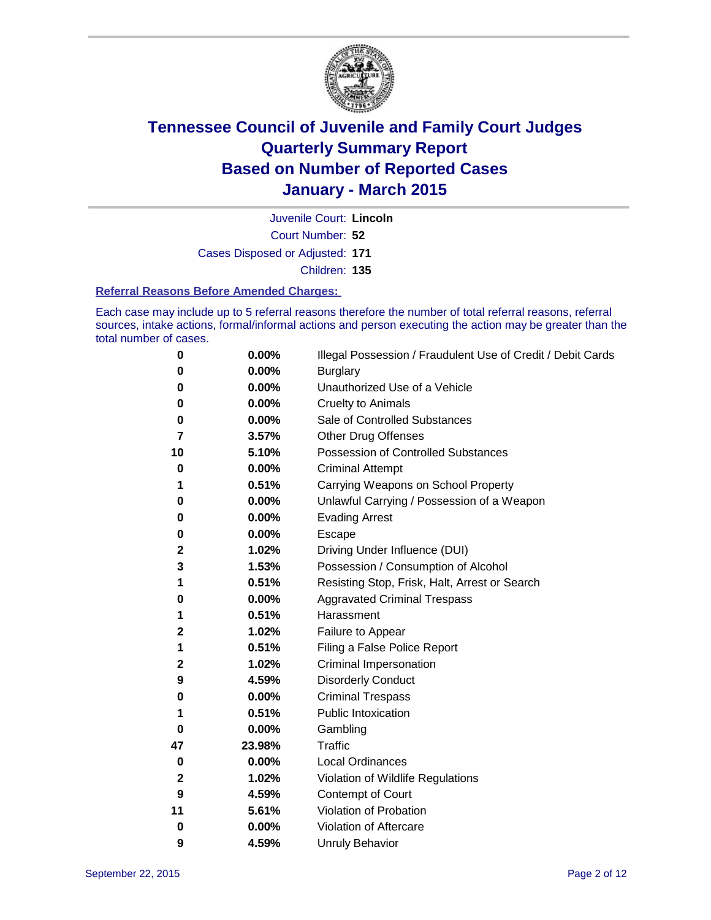

Court Number: **52** Juvenile Court: **Lincoln** Cases Disposed or Adjusted: **171** Children: **135**

#### **Referral Reasons Before Amended Charges:**

Each case may include up to 5 referral reasons therefore the number of total referral reasons, referral sources, intake actions, formal/informal actions and person executing the action may be greater than the total number of cases.

| 0            | 0.00%  | Illegal Possession / Fraudulent Use of Credit / Debit Cards |
|--------------|--------|-------------------------------------------------------------|
| 0            | 0.00%  | <b>Burglary</b>                                             |
| 0            | 0.00%  | Unauthorized Use of a Vehicle                               |
| 0            | 0.00%  | <b>Cruelty to Animals</b>                                   |
| 0            | 0.00%  | Sale of Controlled Substances                               |
| 7            | 3.57%  | <b>Other Drug Offenses</b>                                  |
| 10           | 5.10%  | Possession of Controlled Substances                         |
| 0            | 0.00%  | <b>Criminal Attempt</b>                                     |
| 1            | 0.51%  | Carrying Weapons on School Property                         |
| 0            | 0.00%  | Unlawful Carrying / Possession of a Weapon                  |
| 0            | 0.00%  | <b>Evading Arrest</b>                                       |
| 0            | 0.00%  | Escape                                                      |
| $\mathbf 2$  | 1.02%  | Driving Under Influence (DUI)                               |
| 3            | 1.53%  | Possession / Consumption of Alcohol                         |
| 1            | 0.51%  | Resisting Stop, Frisk, Halt, Arrest or Search               |
| 0            | 0.00%  | <b>Aggravated Criminal Trespass</b>                         |
| 1            | 0.51%  | Harassment                                                  |
| 2            | 1.02%  | Failure to Appear                                           |
| 1            | 0.51%  | Filing a False Police Report                                |
| $\mathbf 2$  | 1.02%  | Criminal Impersonation                                      |
| 9            | 4.59%  | <b>Disorderly Conduct</b>                                   |
| 0            | 0.00%  | <b>Criminal Trespass</b>                                    |
| 1            | 0.51%  | <b>Public Intoxication</b>                                  |
| $\bf{0}$     | 0.00%  | Gambling                                                    |
| 47           | 23.98% | Traffic                                                     |
| 0            | 0.00%  | <b>Local Ordinances</b>                                     |
| $\mathbf{2}$ | 1.02%  | Violation of Wildlife Regulations                           |
| 9            | 4.59%  | Contempt of Court                                           |
| 11           | 5.61%  | Violation of Probation                                      |
| 0            | 0.00%  | Violation of Aftercare                                      |
| 9            | 4.59%  | <b>Unruly Behavior</b>                                      |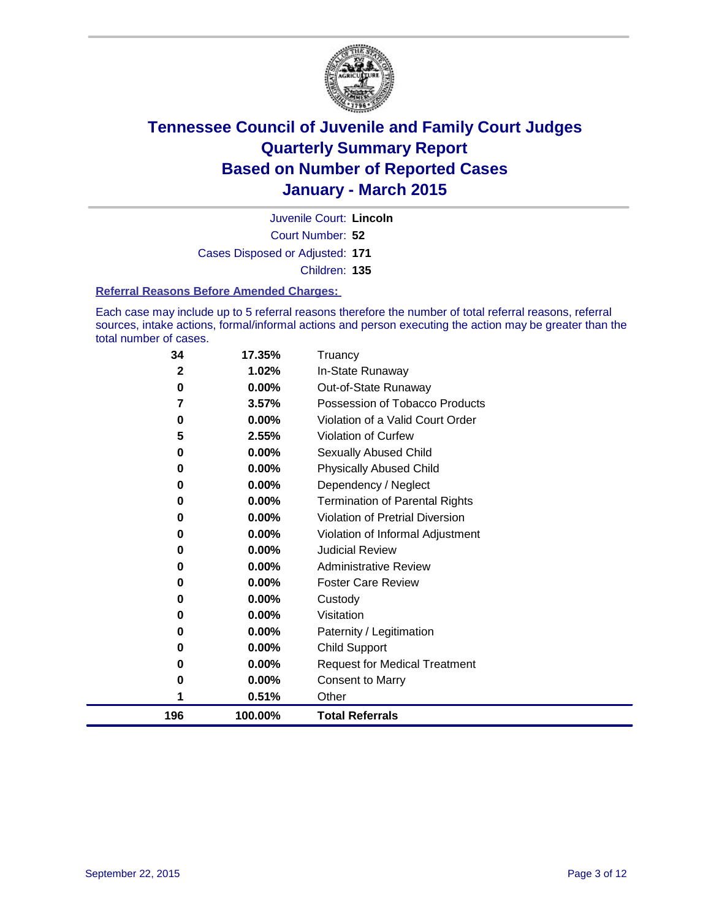

Court Number: **52** Juvenile Court: **Lincoln** Cases Disposed or Adjusted: **171** Children: **135**

#### **Referral Reasons Before Amended Charges:**

Each case may include up to 5 referral reasons therefore the number of total referral reasons, referral sources, intake actions, formal/informal actions and person executing the action may be greater than the total number of cases.

| 34  | 17.35%   | Truancy                                |
|-----|----------|----------------------------------------|
| 2   | 1.02%    | In-State Runaway                       |
| 0   | 0.00%    | Out-of-State Runaway                   |
| 7   | 3.57%    | Possession of Tobacco Products         |
| 0   | $0.00\%$ | Violation of a Valid Court Order       |
| 5   | 2.55%    | <b>Violation of Curfew</b>             |
| 0   | 0.00%    | Sexually Abused Child                  |
| 0   | 0.00%    | <b>Physically Abused Child</b>         |
| 0   | 0.00%    | Dependency / Neglect                   |
| 0   | 0.00%    | <b>Termination of Parental Rights</b>  |
| 0   | $0.00\%$ | <b>Violation of Pretrial Diversion</b> |
| 0   | 0.00%    | Violation of Informal Adjustment       |
| 0   | 0.00%    | <b>Judicial Review</b>                 |
| 0   | 0.00%    | <b>Administrative Review</b>           |
| 0   | 0.00%    | <b>Foster Care Review</b>              |
| 0   | 0.00%    | Custody                                |
| 0   | 0.00%    | Visitation                             |
| 0   | 0.00%    | Paternity / Legitimation               |
| 0   | $0.00\%$ | <b>Child Support</b>                   |
| 0   | 0.00%    | <b>Request for Medical Treatment</b>   |
| 0   | 0.00%    | <b>Consent to Marry</b>                |
|     | 0.51%    | Other                                  |
| 196 | 100.00%  | <b>Total Referrals</b>                 |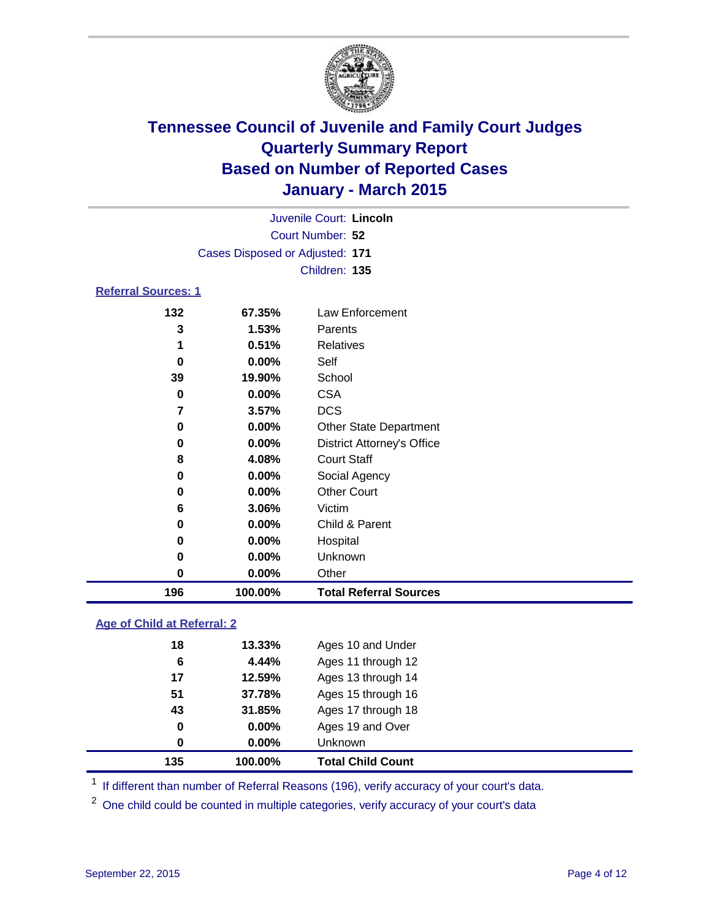

| Juvenile Court: Lincoln    |                                 |                 |  |  |  |
|----------------------------|---------------------------------|-----------------|--|--|--|
|                            | Court Number: 52                |                 |  |  |  |
|                            | Cases Disposed or Adjusted: 171 |                 |  |  |  |
|                            |                                 | Children: 135   |  |  |  |
| <b>Referral Sources: 1</b> |                                 |                 |  |  |  |
| 132                        | 67.35%                          | Law Enforcement |  |  |  |
| 3                          | 1.53%                           | Parents         |  |  |  |
| 1                          | 0.51%                           | Relatives       |  |  |  |
| 0                          | $0.00\%$                        | Self            |  |  |  |
| 39                         | 19.90%                          | School          |  |  |  |
| 0                          | $0.00\%$                        | <b>CSA</b>      |  |  |  |
|                            | 3.57%                           | DCS             |  |  |  |

 **0.00%** Other State Department **0.00%** District Attorney's Office

 **4.08%** Court Staff **0.00%** Social Agency **0.00%** Other Court

**0.00%** Child & Parent

**100.00% Total Referral Sources**

 **0.00%** Hospital **0.00%** Unknown **0.00%** Other

| Age of Child at Referral: 2 |  |
|-----------------------------|--|

| 135         | 100.00% | <b>Total Child Count</b> |
|-------------|---------|--------------------------|
| 0           | 0.00%   | Unknown                  |
| $\mathbf 0$ | 0.00%   | Ages 19 and Over         |
| 43          | 31.85%  | Ages 17 through 18       |
| 51          | 37.78%  | Ages 15 through 16       |
| 17          | 12.59%  | Ages 13 through 14       |
| 6           | 4.44%   | Ages 11 through 12       |
| 18          | 13.33%  | Ages 10 and Under        |
|             |         |                          |

**3.06%** Victim

<sup>1</sup> If different than number of Referral Reasons (196), verify accuracy of your court's data.

One child could be counted in multiple categories, verify accuracy of your court's data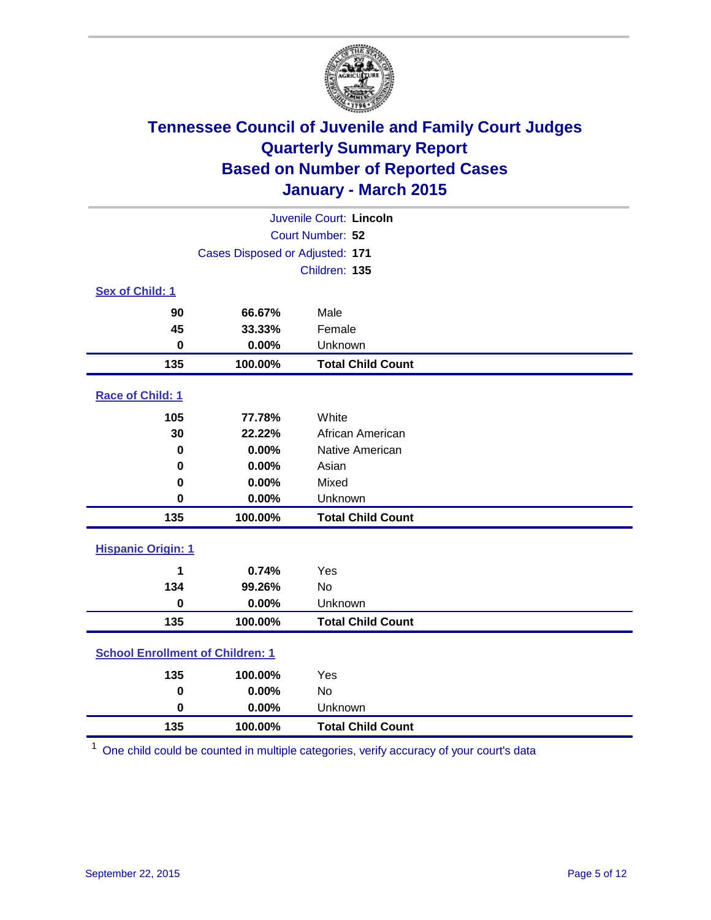

| Juvenile Court: Lincoln                 |                                 |                          |  |  |  |
|-----------------------------------------|---------------------------------|--------------------------|--|--|--|
| Court Number: 52                        |                                 |                          |  |  |  |
|                                         | Cases Disposed or Adjusted: 171 |                          |  |  |  |
|                                         |                                 | Children: 135            |  |  |  |
| Sex of Child: 1                         |                                 |                          |  |  |  |
| 90                                      | 66.67%                          | Male                     |  |  |  |
| 45                                      | 33.33%                          | Female                   |  |  |  |
| $\bf{0}$                                | 0.00%                           | Unknown                  |  |  |  |
| 135                                     | 100.00%                         | <b>Total Child Count</b> |  |  |  |
| Race of Child: 1                        |                                 |                          |  |  |  |
| 105                                     | 77.78%                          | White                    |  |  |  |
| 30                                      | 22.22%                          | African American         |  |  |  |
| $\bf{0}$                                | 0.00%                           | Native American          |  |  |  |
| 0                                       | 0.00%                           | Asian                    |  |  |  |
| 0                                       | 0.00%                           | Mixed                    |  |  |  |
| $\bf{0}$                                | 0.00%                           | Unknown                  |  |  |  |
| 135                                     | 100.00%                         | <b>Total Child Count</b> |  |  |  |
| <b>Hispanic Origin: 1</b>               |                                 |                          |  |  |  |
| 1                                       | 0.74%                           | Yes                      |  |  |  |
| 134                                     | 99.26%                          | <b>No</b>                |  |  |  |
| $\bf{0}$                                | 0.00%                           | Unknown                  |  |  |  |
| 135                                     | 100.00%                         | <b>Total Child Count</b> |  |  |  |
| <b>School Enrollment of Children: 1</b> |                                 |                          |  |  |  |
| 135                                     | 100.00%                         | Yes                      |  |  |  |
| $\pmb{0}$                               | 0.00%                           | <b>No</b>                |  |  |  |
| $\mathbf 0$                             | 0.00%                           | Unknown                  |  |  |  |
| 135                                     | 100.00%                         | <b>Total Child Count</b> |  |  |  |

One child could be counted in multiple categories, verify accuracy of your court's data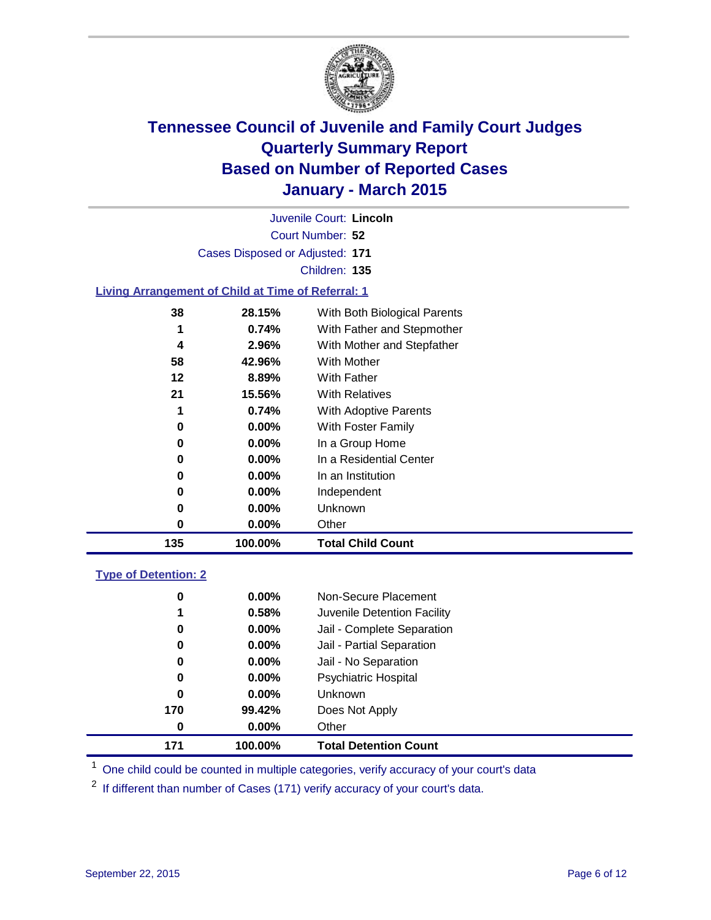

|                                                           | Juvenile Court: Lincoln |  |
|-----------------------------------------------------------|-------------------------|--|
|                                                           | Court Number: 52        |  |
| Cases Disposed or Adjusted: 171                           |                         |  |
|                                                           | Children: 135           |  |
| a an Annana an anns an Co-Chaill an Time a' an Dannaigh A |                         |  |

#### **Living Arrangement of Child at Time of Referral: 1**

| 38  | 28.15%   | With Both Biological Parents |
|-----|----------|------------------------------|
| 1   | 0.74%    | With Father and Stepmother   |
| 4   | $2.96\%$ | With Mother and Stepfather   |
| 58  | 42.96%   | With Mother                  |
| 12  | 8.89%    | <b>With Father</b>           |
| 21  | 15.56%   | <b>With Relatives</b>        |
| 1   | 0.74%    | With Adoptive Parents        |
| 0   | $0.00\%$ | With Foster Family           |
| 0   | $0.00\%$ | In a Group Home              |
| 0   | $0.00\%$ | In a Residential Center      |
| 0   | $0.00\%$ | In an Institution            |
| 0   | $0.00\%$ | Independent                  |
| 0   | $0.00\%$ | Unknown                      |
| 0   | $0.00\%$ | Other                        |
| 135 | 100.00%  | <b>Total Child Count</b>     |

### **Type of Detention: 2**

| 171 | 100.00%  | <b>Total Detention Count</b> |
|-----|----------|------------------------------|
| 0   | $0.00\%$ | Other                        |
| 170 | 99.42%   | Does Not Apply               |
| 0   | $0.00\%$ | <b>Unknown</b>               |
| 0   | $0.00\%$ | <b>Psychiatric Hospital</b>  |
| 0   | 0.00%    | Jail - No Separation         |
| 0   | 0.00%    | Jail - Partial Separation    |
| 0   | $0.00\%$ | Jail - Complete Separation   |
| 1   | 0.58%    | Juvenile Detention Facility  |
| 0   | $0.00\%$ | Non-Secure Placement         |

<sup>1</sup> One child could be counted in multiple categories, verify accuracy of your court's data

If different than number of Cases (171) verify accuracy of your court's data.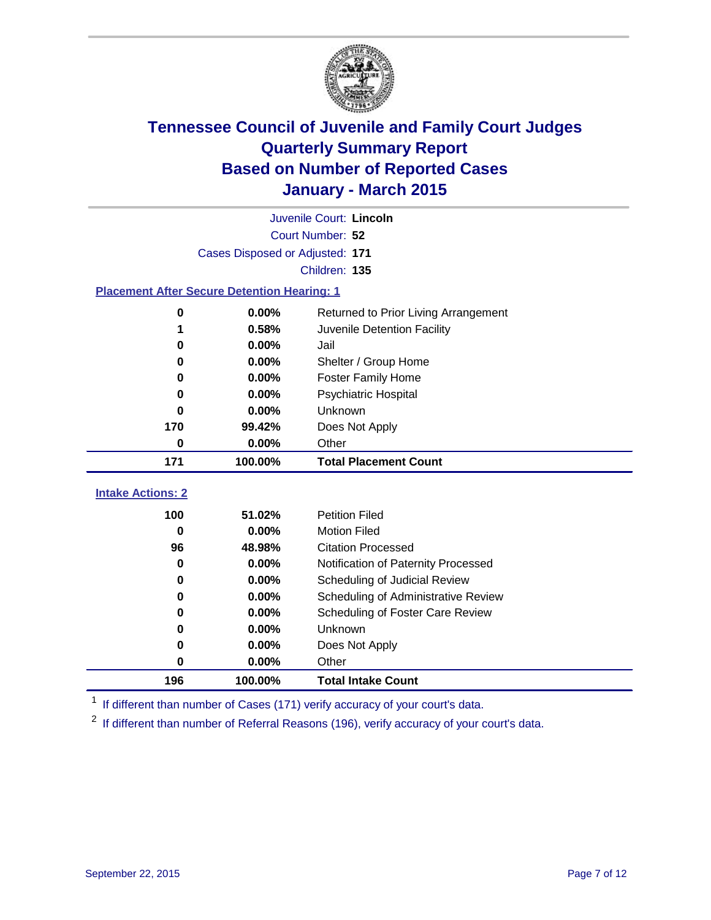

|                                                    | Juvenile Court: Lincoln         |                                      |  |  |  |
|----------------------------------------------------|---------------------------------|--------------------------------------|--|--|--|
|                                                    | Court Number: 52                |                                      |  |  |  |
|                                                    | Cases Disposed or Adjusted: 171 |                                      |  |  |  |
|                                                    |                                 | Children: 135                        |  |  |  |
| <b>Placement After Secure Detention Hearing: 1</b> |                                 |                                      |  |  |  |
| 0                                                  | 0.00%                           | Returned to Prior Living Arrangement |  |  |  |
| 1                                                  | 0.58%                           | Juvenile Detention Facility          |  |  |  |
| 0                                                  | 0.00%                           | Jail                                 |  |  |  |
| 0                                                  | 0.00%                           | Shelter / Group Home                 |  |  |  |
| 0                                                  | 0.00%                           | <b>Foster Family Home</b>            |  |  |  |
| O                                                  | 0.00%                           | Psychiatric Hospital                 |  |  |  |
| 0                                                  | 0.00%                           | Unknown                              |  |  |  |
| 170                                                | 99.42%                          | Does Not Apply                       |  |  |  |
| 0                                                  | $0.00\%$                        | Other                                |  |  |  |
| 171                                                | 100.00%                         | <b>Total Placement Count</b>         |  |  |  |
|                                                    |                                 |                                      |  |  |  |
| <b>Intake Actions: 2</b>                           |                                 |                                      |  |  |  |
| 100                                                | 51.02%                          | <b>Petition Filed</b>                |  |  |  |
| $\bf{0}$                                           | 0.00%                           | <b>Motion Filed</b>                  |  |  |  |
| 96                                                 | 48.98%                          | <b>Citation Processed</b>            |  |  |  |
| 0                                                  | 0.00%                           | Notification of Paternity Processed  |  |  |  |
| 0                                                  | 0.00%                           | Scheduling of Judicial Review        |  |  |  |
| 0                                                  | 0.00%                           | Scheduling of Administrative Review  |  |  |  |
| 0                                                  | $0.00\%$                        | Scheduling of Foster Care Review     |  |  |  |
| 0                                                  | 0.00%                           | Unknown                              |  |  |  |
| 0                                                  | 0.00%                           | Does Not Apply                       |  |  |  |
| 0                                                  | 0.00%                           | Other                                |  |  |  |
| 196                                                | 100.00%                         | <b>Total Intake Count</b>            |  |  |  |

<sup>1</sup> If different than number of Cases (171) verify accuracy of your court's data.

<sup>2</sup> If different than number of Referral Reasons (196), verify accuracy of your court's data.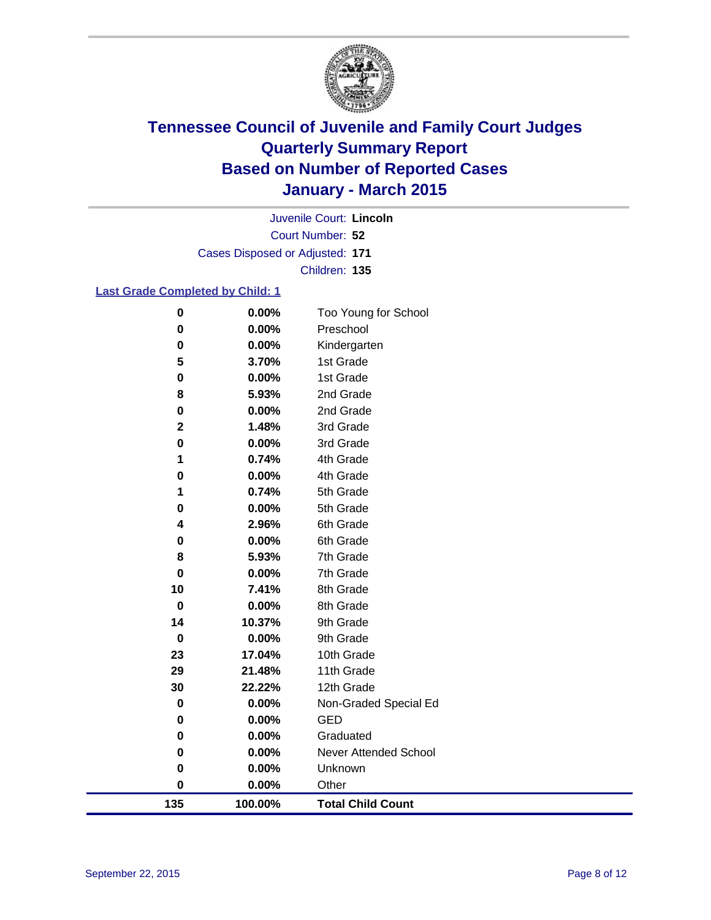

Court Number: **52** Juvenile Court: **Lincoln** Cases Disposed or Adjusted: **171** Children: **135**

### **Last Grade Completed by Child: 1**

| 135         | 100.00%        | <b>Total Child Count</b>     |
|-------------|----------------|------------------------------|
| $\bf{0}$    | 0.00%          | Other                        |
| 0           | $0.00\%$       | Unknown                      |
| 0           | 0.00%          | <b>Never Attended School</b> |
| 0           | 0.00%          | Graduated                    |
| 0           | 0.00%          | GED                          |
| 0           | 0.00%          | Non-Graded Special Ed        |
| 30          | 22.22%         | 12th Grade                   |
| 29          | 21.48%         | 11th Grade                   |
| 23          | 17.04%         | 10th Grade                   |
| 0           | 0.00%          | 9th Grade                    |
| 14          | 10.37%         | 9th Grade                    |
| $\bf{0}$    | 0.00%          | 8th Grade                    |
| 10          | 7.41%          | 8th Grade                    |
| 0           | 0.00%          | 7th Grade                    |
| 8           | 5.93%          | 7th Grade                    |
| 0           | 0.00%          | 6th Grade                    |
| 4           | 2.96%          | 6th Grade                    |
| 1<br>0      | 0.74%<br>0.00% | 5th Grade                    |
| 0           | 0.00%          | 5th Grade                    |
| 1           | 0.74%          | 4th Grade<br>4th Grade       |
| $\bf{0}$    | 0.00%          | 3rd Grade                    |
| $\mathbf 2$ | 1.48%          | 3rd Grade                    |
| 0           | 0.00%          | 2nd Grade                    |
| 8           | 5.93%          | 2nd Grade                    |
| $\pmb{0}$   | 0.00%          | 1st Grade                    |
| 5           | 3.70%          | 1st Grade                    |
| $\bf{0}$    | 0.00%          | Kindergarten                 |
| $\bf{0}$    | 0.00%          | Preschool                    |
| $\bf{0}$    | 0.00%          | Too Young for School         |
|             |                |                              |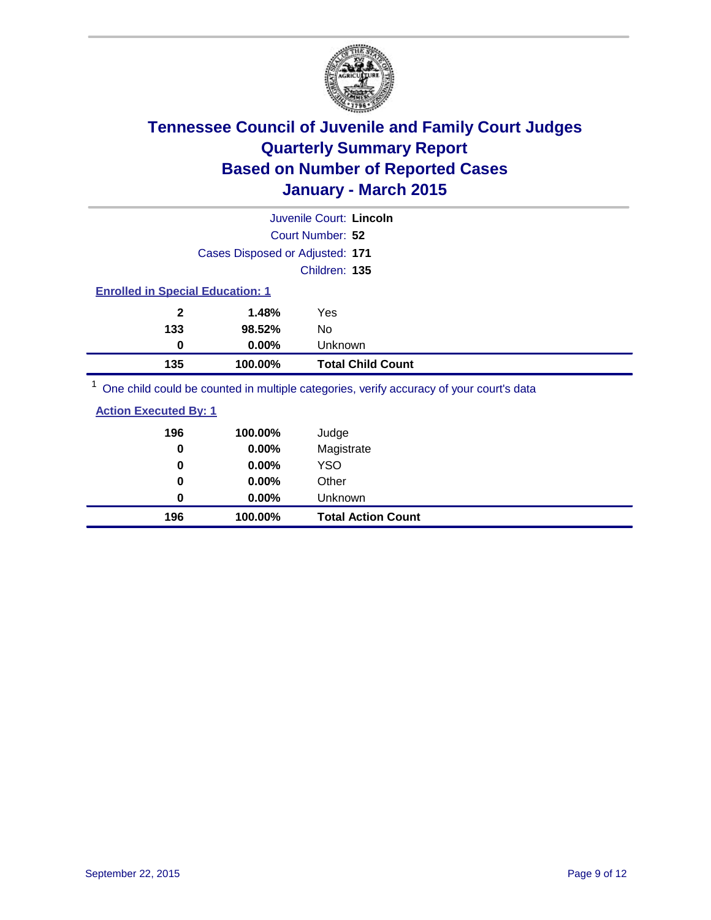

|                                         |                                 | Juvenile Court: Lincoln                                                                |  |
|-----------------------------------------|---------------------------------|----------------------------------------------------------------------------------------|--|
|                                         |                                 | Court Number: 52                                                                       |  |
|                                         | Cases Disposed or Adjusted: 171 |                                                                                        |  |
|                                         |                                 | Children: 135                                                                          |  |
| <b>Enrolled in Special Education: 1</b> |                                 |                                                                                        |  |
| $\mathbf{2}$                            | 1.48%                           | Yes                                                                                    |  |
| 133                                     | 98.52%                          | No                                                                                     |  |
| 0                                       | $0.00\%$                        | Unknown                                                                                |  |
| 135                                     | 100.00%                         | <b>Total Child Count</b>                                                               |  |
|                                         |                                 | One objet could be counted in multiple estegation verify accuracy of your courtie data |  |

<sup>1</sup> One child could be counted in multiple categories, verify accuracy of your court's data

| <b>Action Executed By: 1</b> |
|------------------------------|
|------------------------------|

| 196<br>0 | 100.00%<br>0.00% | Judge<br>Magistrate       |
|----------|------------------|---------------------------|
| 0        | $0.00\%$         | <b>YSO</b>                |
| 0        | $0.00\%$         | Other                     |
| 0        | $0.00\%$         | Unknown                   |
| 196      | 100.00%          | <b>Total Action Count</b> |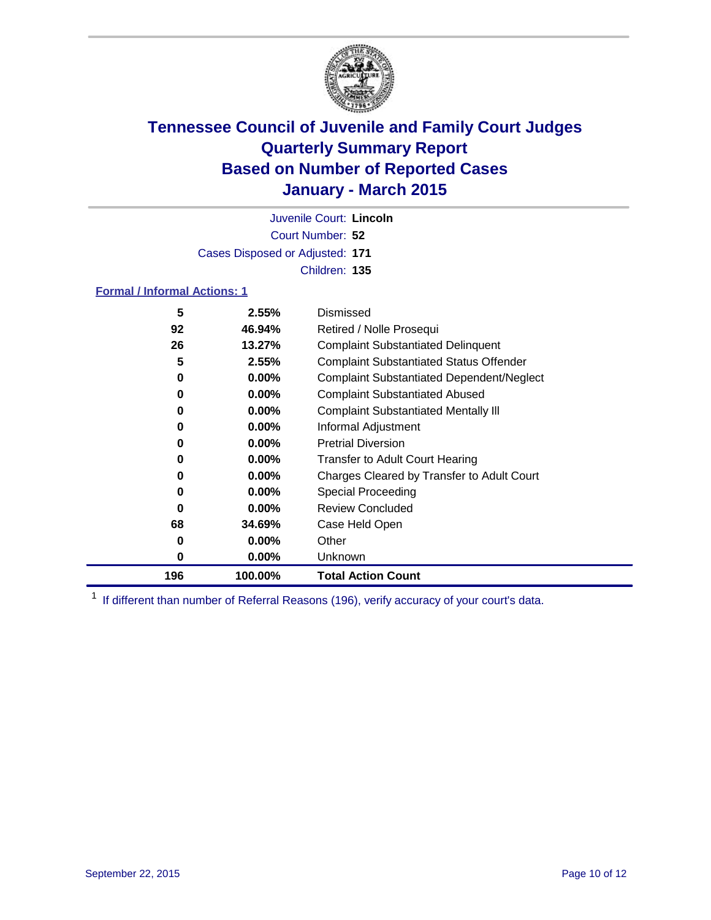

Court Number: **52** Juvenile Court: **Lincoln** Cases Disposed or Adjusted: **171** Children: **135**

### **Formal / Informal Actions: 1**

| 5   | 2.55%    | Dismissed                                        |
|-----|----------|--------------------------------------------------|
| 92  | 46.94%   | Retired / Nolle Prosequi                         |
| 26  | 13.27%   | <b>Complaint Substantiated Delinquent</b>        |
| 5   | 2.55%    | <b>Complaint Substantiated Status Offender</b>   |
| 0   | $0.00\%$ | <b>Complaint Substantiated Dependent/Neglect</b> |
| 0   | $0.00\%$ | <b>Complaint Substantiated Abused</b>            |
| 0   | $0.00\%$ | <b>Complaint Substantiated Mentally III</b>      |
| 0   | $0.00\%$ | Informal Adjustment                              |
| 0   | $0.00\%$ | <b>Pretrial Diversion</b>                        |
| 0   | $0.00\%$ | <b>Transfer to Adult Court Hearing</b>           |
| 0   | $0.00\%$ | Charges Cleared by Transfer to Adult Court       |
| 0   | $0.00\%$ | Special Proceeding                               |
| 0   | $0.00\%$ | <b>Review Concluded</b>                          |
| 68  | 34.69%   | Case Held Open                                   |
| 0   | $0.00\%$ | Other                                            |
| 0   | $0.00\%$ | <b>Unknown</b>                                   |
| 196 | 100.00%  | <b>Total Action Count</b>                        |

<sup>1</sup> If different than number of Referral Reasons (196), verify accuracy of your court's data.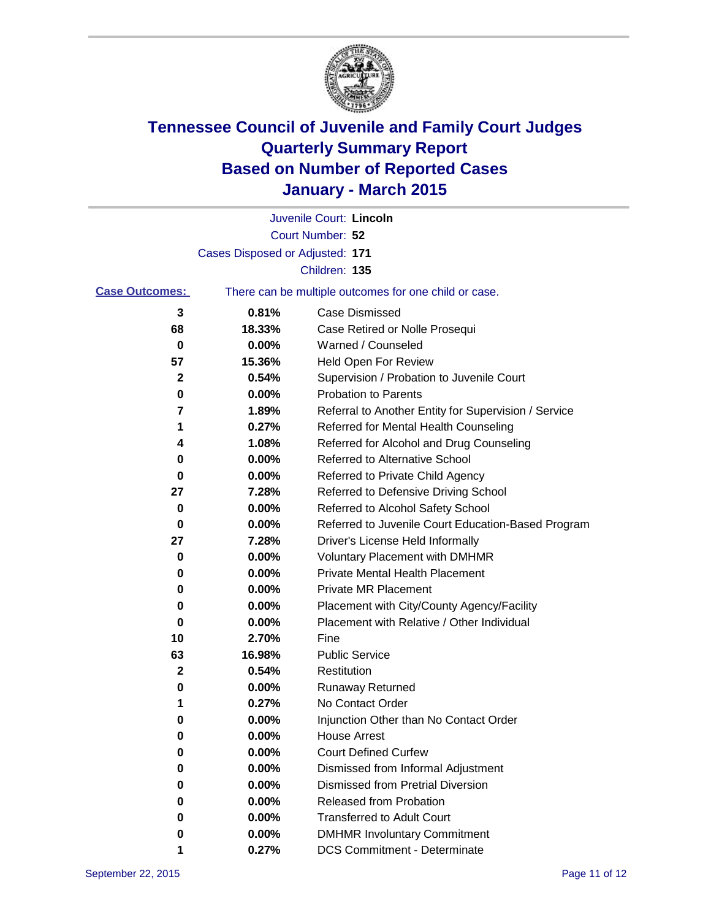

|                       |                                 | Juvenile Court: Lincoln                               |
|-----------------------|---------------------------------|-------------------------------------------------------|
|                       |                                 | Court Number: 52                                      |
|                       | Cases Disposed or Adjusted: 171 |                                                       |
|                       |                                 | Children: 135                                         |
| <b>Case Outcomes:</b> |                                 | There can be multiple outcomes for one child or case. |
| 3                     | 0.81%                           | Case Dismissed                                        |
| 68                    | 18.33%                          | Case Retired or Nolle Prosequi                        |
| 0                     | 0.00%                           | Warned / Counseled                                    |
| 57                    | 15.36%                          | Held Open For Review                                  |
| 2                     | 0.54%                           | Supervision / Probation to Juvenile Court             |
| 0                     | 0.00%                           | <b>Probation to Parents</b>                           |
| 7                     | 1.89%                           | Referral to Another Entity for Supervision / Service  |
| 1                     | 0.27%                           | Referred for Mental Health Counseling                 |
| 4                     | 1.08%                           | Referred for Alcohol and Drug Counseling              |
| 0                     | 0.00%                           | <b>Referred to Alternative School</b>                 |
| 0                     | 0.00%                           | Referred to Private Child Agency                      |
| 27                    | 7.28%                           | Referred to Defensive Driving School                  |
| 0                     | 0.00%                           | Referred to Alcohol Safety School                     |
| 0                     | 0.00%                           | Referred to Juvenile Court Education-Based Program    |
| 27                    | 7.28%                           | Driver's License Held Informally                      |
| 0                     | 0.00%                           | <b>Voluntary Placement with DMHMR</b>                 |
| 0                     | 0.00%                           | <b>Private Mental Health Placement</b>                |
| 0                     | 0.00%                           | <b>Private MR Placement</b>                           |
| 0                     | 0.00%                           | Placement with City/County Agency/Facility            |
| 0                     | 0.00%                           | Placement with Relative / Other Individual            |
| 10                    | 2.70%                           | Fine                                                  |
| 63                    | 16.98%                          | <b>Public Service</b>                                 |
| 2                     | 0.54%                           | Restitution                                           |
| 0                     | 0.00%                           | <b>Runaway Returned</b>                               |
| 1                     | 0.27%                           | No Contact Order                                      |
| 0                     | 0.00%                           | Injunction Other than No Contact Order                |
| 0                     | 0.00%                           | <b>House Arrest</b>                                   |
| 0                     | 0.00%                           | <b>Court Defined Curfew</b>                           |
| 0                     | 0.00%                           | Dismissed from Informal Adjustment                    |
| 0                     | 0.00%                           | <b>Dismissed from Pretrial Diversion</b>              |
| 0                     | 0.00%                           | Released from Probation                               |
| 0                     | 0.00%                           | <b>Transferred to Adult Court</b>                     |
| 0                     | 0.00%                           | <b>DMHMR Involuntary Commitment</b>                   |
|                       | 0.27%                           | <b>DCS Commitment - Determinate</b>                   |